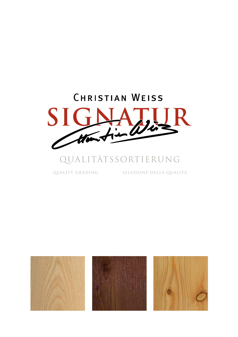

# qualitätssortierung

quality grading selezione della qualità

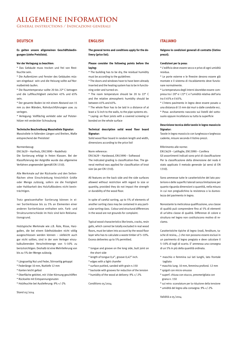# **Allgemeine Information**

**General instructions / Indicazioni generali**

# **DEUTSCH**

**Es gelten unsere allgemeinen Geschäftsbedingungen (siehe Preisliste).**

# **Vor der Verlegung zu beachten:**

\* Das Gebäude muss trocken und frei von Restfeuchte sein.

\* Die Außentüren und Fenster des Gebäudes müssen eingebaut sein und die Heizung sollte auf Normalbetrieb laufen.

\* Die Raumtemperatur sollte 20 bis 22° C betragen und die Luftfeuchtigkeit zwischen 45% und 65% sein.

\* Der gesamte Boden ist mit einem Abstand von 15 mm zu den Wänden, Rohrdurchführungen usw. zu verlegen.

\* Verlegung: Vollflächig verklebt oder auf Polsterhölzer mit verdeckter Schraubung

#### **Technische Beschreibung Massivdiele Signatur:**

Massivdiele in fallenden Längen und Breiten, Maße entsprechend der Preisliste!

# Normenbezug:

EN13629 – Hartholz, EN13990 – Nadelholz Die Sortierung erfolgt in freien Klassen. Bei der Klassifizierung der Astgröße wurde das allgemeine Verfahren angewendet (gemäß EN 1310).

Alle Merkmale auf der Rückseite und den Seitenflächen ohne Einschränkung hinsichtlich Größe oder Menge zulässig, sofern sie die Festigkeit oder Haltbarkeit des Holzfußbodens nicht beeinträchtigen.

Trotz gewissenhafter Sortierung können in einer Sortierklasse bis zu 5% an Elementen einer anderen Sortierklasse enthalten sein. Farb- und Strukturunterschiede im Holz sind kein Reklamationsgrund.

Holztypische Merkmale wie z.B. Äste, Risse, Harzgallen, die bei einem Edelholzboden nicht völlig ausgeschlossen werden können – vielleicht auch gar nicht sollten, sind in der vom Verleger einzukalkulierenden Verschnittmenge von 5–10% zu berücksichtigen. Deshalb ist eine Mehrlieferung von bis zu 5% der Menge zulässig.

- \* Längsseitig Nut und Feder, Stirnseitig gekappt
- \* Federlänge 10 mm, Nuttiefe 12 mm
- \* Kanten leicht gefast
- \* Oberfläche gekittet, mit 150er Körnung geschliffen
- \* Rückseite mit Entspannungsnuten
- \* Holzfeuchte bei Auslieferung: 9% +/-2%

Stand 05/2014

# **ENGLISH**

**The general terms and conditions apply for the delivery (price list).**

# **Please consider the following points before the laying:**

\* The building has to be dry, the residual humidity must be according to the guidelines

\* The doors and windows have to have been already inserted and the heating system has to be in functioning order and turned on.

\* The room temperature should be 20 to 22° C and the relative atmospheric humidity should be between 45% and 65%.

\* The whole floor has to be laid in a distance of at least a ½ inch to the walls, to the pipe systems etc. \* Laying: on floor joists with a covered screwing or bonded on the whole surface

# **Technical description solid wood floor board Signatur:**

Solid wood floor board in random length and width, dimensions according to the price list!

#### Norm reference:

EN13629 – Hardwood, EN13990 – Softwood The indicated grading is classification-free. The general method was applied for classification of knot size (as per EN 1310).

All features on the back side and the side surfaces allowed without restriction with regard to size or quantity, provided they do not impact the strength or durability of the wood floor.

In spite of careful sorting, up to 5% of elements of another sorting class may be contained in any particular sorting class. Colour and structural differences in the wood are not grounds for complaint.

Typical wood characteristics like knots, cracks, resin galls, which cannot be totally excluded in real wood floors, must be taken into account by the wood floor layer who has to calculate a waste timber of 5–10%. Excess deliveries up to 5% permitted.

- \* tongue and groove on the long side, butt joint on the short side
- \* length of tongue 0,4", groove 0,42" inch.
- \* edges with a light chamfer
- \* surface puttied, sanded with grain n.150
- \* backside with grooves for reduction of the tension \* humidity of the wood at delivery: 9% +/-2%

Conditions 05/2014

# **ITALIANO**

**Valgono le condizioni generali di contratto (listino prezzi).**

## **Condizioni per la posa:**

\* L'edificio deve essere secco e privo di ogni umidità residua.

\* Le porte esterne e le finestre devono essere già montate e il sistema di riscaldamento deve funzionare normalmente.

\* La temperatura degli interni dovrebbe essere compresa tra i 20° e i 22° C e l'umidità relativa dell'aria tra il 45% e il 65%.

\* L'intero pavimento in legno deve essere posato a una distanza di 15 mm dai muri o dalle condotte ecc. \* Posa: avvitamento nascosto sui listelli del sottosuolo oppure incollatura su tutta la superficie

# **Descrizione tecnica delle tavole in legno massiccio Signatur:**

Tavole in legno massiccio con lunghezza e larghezza cadente, misure secondo il listino prezzi.

### Riferimento alle norme:

EN13629 – Latifoglie, EN13990 – Conifera Gli assortimenti indicati sono privi di classificazione Per la classificazione della dimensione del nodo è stato applicato il metodo generale (ai sensi di EN 1310).

Sono ammesse tutte le caratteristiche del lato posteriore e delle superfici laterali senza limitazione per quanto riguarda dimensioni o quantità, nella misura in cui non pregiudichino la resistenza o la durevolezza del pavimento in legno.

Nonostante la meticolosa qualificazione, una classe di qualità può comprendere fino al 5% di elementi di un'altra classe di qualità. Differenze di colore e struttura nel legno non costituiscono motivo di reclamo.

Caratteristiche tipiche di legno (nodi, fenditure, tasche di resina,...) che non possono essere esclusi in un pavimento di legno pregiato e deve calcolare il 5–10% di tagli di scarto. E' ammessa una consegna di un 5% in più della quantità ordinata.

- \* maschio e femmina sui lati lunghi, lato frontale tagliato
- \* maschio lung. 10 mm, femmina profond. 12 mm
- \* spigoli con micro-smusso
- \* superf. chiusa con stucco, presmerigliata con grana n. 150
- \* sul retro: scanalature per la riduzione della tensione
- \* umidità del legno alla consegna: 9% +/-2%

Validità a 05/2014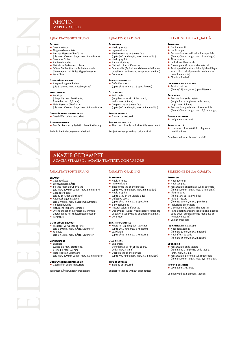# **Ahorn Maple / Acero**

# **Qualitätssortierung**

# **Erlaubt**

- F Gesunde Äste ◆ Eingewachsene Äste
- 
- F Seichte Risse an Oberfläche (bis max. 300 mm Länge, max. 2 mm Breite) Gesunder Splint
- **Rindeneinwuchs**
- Natürliche Farbunterschiede
- Offene Stellen (Holztypische Merkmale überwiegend mit Füllstoff geschlossen)
- $\div$  Kernröhre
- 

# **Geringfügig erlaubt**

◆ Ausgeschlagene Stellen (bis Ø 25 mm, max. 3 Stellen/Brett)

#### **VORKOMMEND**

- **Fndrisse** (Länge bis max. Brettbreite,
- Breite bis max. 3,5 mm )
- F Tiefe Risse an Oberfläche
- (bis max. 300 mm Länge, max. 3,5 mm Breite)

#### **Oberflächenbeschaffenheit** Geschliffen oder strukturiert

**Besonderheiten** F Der Farbkern ist typisch für diese Sortierung

Technische Änderungen vorbehalten!

# **Quality grading**

#### **PERMITTED**

- **← Healthy knots**
- ◆ Ingrown knots
- F Shallow cracks on the surface (up to 300 mm length, max. 2 mm width)
	- Healthy splint
	- $\triangle$  Bark occlusions
	- → Natural colour differences<br>← Open voids (Typical wood Open voids (Typical wood characteristics are
	- usually closed by using an appropriate filler)
	- Core tube

# **Slightly permitted**

 $\triangle$  Defective spots (up to Ø 25 mm, max. 3 spots/board)

#### **Occurrence**

- $\triangle$  End cracks (length max. witdh of the board, width max. 3,5 mm)
- Framman 5,5 mm, (up to 300 mm length, max. 3,5 mm width)
- **Type of surface**
- ◆ Sanded or textured

#### **Special properties**

 $\triangle$  The core colour is typical for this assortment

## Subject to change without prior notice!

# **Akazie gedämpft Acacia steamed / Acacia trattata con vapore**

# **Erlaubt**

- Gesunde Äste F Eingewachsene Äste
- 
- Seichte Risse an Oberfläche (bis max. 400 mm Länge, max. 2 mm Breite) Gesunder Splint
- (bis zu 15% der Sichtfläche)
- Ausgeschlagene Stellen (bis Ø 40 mm, max. 3 Stellen/Laufmeter)
- Rindeneinwuchs
- $\triangleq$  Natürliche Farbunterschiede
- F Offene Stellen (Holztypische Merkmale
- überwiegend mit Füllstoff geschlossen)  $\bigstar$  Kernröhre

#### **Geringfügig erlaubt**

- F Nicht fest verwachsene Äste
- (bis Ø 60 mm, max. 3 Äste/Laufmeter)  $\triangleq$  Fauläste (bis Ø 45 mm, max. 2 Äste/Laufmeter)
- **VORKOMMEND**

# $\triangleleft$  Endrisse

- (Länge bis max. Brettbreite,
- Breite bis max. 3,5 mm ) F Tiefe Risse an Oberfläche
- (bis max. 400 mm Länge, max. 3,5 mm Breite)

#### **Oberflächenbeschaffenheit** Geschliffen oder strukturiert

Technische Änderungen vorbehalten!

# **Quality grading**

# **Permitted**

- $\triangleq$  Healthy knots
- $\triangleq$  Ingrown knots Shallow cracks on the surface
- (up to 400 mm length, max. 2 mm width)  $\bigstar$  Healthy splint<br>(up to 15% on the visible side)
- ← Defective spots
- (up to Ø 40 mm, max. 3 spots/m) Bark occlusions
- ◆ Natural colour differences
- 
- ◆ Open voids (Typical wood characteristics are usually closed by using an appropriate filler)
- $\leftarrow$  Core tube

#### **Slightly permitted**

- ◆ Knots not tightly grown together
- (up to Ø 60 mm, max. 3 knots/m)  $+$  Lazy knots
- (up to  $\emptyset$  45 mm, max. 2 knots/m)

# **Occurrence**

- $\triangle$  End cracks (length max. witdh of the board,
- width max. 3,5 mm) Deep cracks on the surface
- (up to 400 mm length, max. 3,5 mm width)

#### **Type of surface**

◆ Sanded or textured

Subject to change without prior notice!

# **selezione della qualità**

**selezione della qualità**

F Fessurazioni superficiali sulla superficie (fino a 300 mm lungh., max. 2 mm largh.)

◆ Disomogeneità cromatiche naturali<br>◆ Punti aperti (Caratteristiche tipiche Punti aperti (Caratteristiche tipiche di legno sono chiusi principalmente mediante un

(fino a Ø 25 mm, max. 3 punti/tavola)

 $\triangleq$  Fessurazioni profonde sulla superficie (fino a 300 mm lungh., max. 3,5 mm largh.)

F Il durame colorato è tipico di questa

Con riserva di cambiamenti tecnici!

**Ammesso** F Nodi aderenti ◆ Nodi compatti

**Sporadico**

Alburno sano F Inclusione di corteccia

riempitivo adatto) ← Cilindri midollari **Insignificante ammesso** F Punti di rottura

 $\blacklozenge$  Fessurazioni sulla testata (lungh. fino a larghezza della tavola,

largh. max. 3,5 mm)

**Tipo di superficie**  $\triangleq$  Levigata o strutturato

qualificazione

**Particolarità**

#### **Ammesso**

- $\triangleleft$  Nodi aderenti  $\triangleq$  Nodi compatti
- F Fessurazioni superficiali sulla superficie
- (fino a 400 mm lungh., max. 2 mm largh.)  $\triangle$  Alburno sano
- (fino a 15% sul lato visibile)
- $\leftrightarrow$  Punti di rottura
- (fino a  $\emptyset$  40 mm, max, 3 punti/m) Inclusione di corteccia
- Disomogeneità cromatiche naturali
- F Punti aperti (Caratteristiche tipiche di legno sono chiusi principalmente mediante un riempitivo adatto)
- $\triangle$  Cilindri midollari

**Sporadico**

# **Insignificante ammesso**

◆ Nodi non aderenti<br>(fino a Ø 60 mm, max. 3 nodi/m)

 $\triangleq$  Fessurazioni sulla testata

largh. max. 3,5 mm)

**Tipo di superficie**  $\triangle$  Levigata o strutturato

F Nodi affetti da carie (fino a Ø 45 mm, max. 2 nodi/m)

(lungh. fino a larghezza della tavola,

F Fessurazioni profonde sulla superficie (fino a 400 mm lungh., max. 3,5 mm largh.)

Con riserva di cambiamenti tecnici!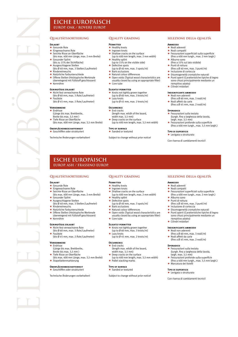# **Eiche Europäisch europ. OAk / Rovere Europ.**

# **Erlaubt**

- mon.<br>Gesunde Äste + Eingewachsene Äste
- Seichte Risse an Oberfläche
- (bis max. 400 mm Länge, max. 2 mm Breite) Gesunder Splint
- (bis zu 15% der Sichtfläche)  $\blacklozenge$  Ausgeschlagene Stellen
- (bis Ø 40 mm, max. 3 Stellen/Laufmeter)
- **Rindeneinwuchs**  $\triangle$  Natürliche Farbunterschiede
- F Offene Stellen (Holztypische Merkmale
- überwiegend mit Füllstoff geschlossen)
- $\triangleq$  Kernröhre

# **Geringfügig erlaubt**

- F Nicht fest verwachsene Äste (bis Ø 60 mm, max. 3 Äste/Laufmeter)
- Fauläste (bis Ø 45 mm, max. 2 Äste/Laufmeter)

# **Vorkommend**

- $\triangleleft$  Endrisse (Länge bis max. Brettbreite,
- Breite bis max. 3,5 mm ) F Tiefe Risse an Oberfläche
- (bis max. 400 mm Länge, max. 3,5 mm Breite)

#### **Oberflächenbeschaffenheit** F Geschliffen oder strukturiert

Technische Änderungen vorbehalten!

# **Quality grading**

# **PERMITTED**

- F Healthy knots
- $\triangleq$  Ingrown knots
- $\blacklozenge$  Shallow cracks on the surface (up to 400 mm length, max. 2 mm width) Healthy splint
- (up to 15% on the visible side)
- $\triangle$  Defective spots (up to  $\emptyset$  40 mm, max. 3 spots/m)
- Bark occlusions
- $\bigstar$  Natural colour differences<br> $\bigstar$  Open voids (Typical wood
- F Open voids (Typical wood characteristics are usually closed by using an appropriate filler)
- $\triangle$  Core tube

# **Slightly permitted**

- ◆ Knots not tightly grown together<br>(up to Ø 60 mm, max. 3 knots/m)
	- Lazy knots (up to Ø 45 mm, max. 2 knots/m)

#### **Occurrence**  $\triangleq$  End cracks

- (length max. witdh of the board, width max. 3,5 mm)
- $\blacklozenge$  Deep cracks on the surface
- (up to 400 mm length, max. 3,5 mm width)
- **Type of surface**  $\triangleleft$  Sanded or textured

Subject to change without prior notice!

# **selezione della qualità**

### **Ammesso**

- ◆ Nodi aderenti<br>◆ Nodi compatt
- $\bigstar$  Nodi compatti Fessurazioni superficiali sulla superficie
- (fino a 400 mm lungh., max. 2 mm largh.)
- Alburno sano (fino a 15% sul lato visibile)
- ◆ Punti di rottura
- $(mn)$  and  $\emptyset$  40 mm, max. 3 punti/m) Inclusione di corteccia
- 
- ◆ Disomogeneità cromatiche naturali<br>◆ Punti aperti (Caratteristiche tipiche di legno sono chiusi principalmente mediante un riempitivo adatto)
- $\triangleq$  Cilindri midollari

#### **Insignificante ammesso**

- $\triangleleft$  Nodi non aderenti
- (fino a Ø 60 mm, max. 3 nodi/m) ◆ Nodi affetti da carie
- (fino a Ø 45 mm, max. 2 nodi/m)

## **SPORADICO**

- $\triangleq$  Fessurazioni sulla testata (lungh. fino a larghezza della tavola, largh. max. 3,5 mm) F Fessurazioni profonde sulla superficie
- (fino a 400 mm lungh., max. 3,5 mm largh.)

#### **Tipo di superficie**

**Ammesso**  $\triangleleft$  Nodi aderenti Nodi compatti

Alburno sano + Punti di rottura

riempitivo adatto)  $\triangleq$  Cilindri midollari **Insignificante ammesso**  $\triangleleft$  Nodi non aderenti

 $\triangle$  Fessurazioni sulla testata

largh. max. 3,5 mm)

 $\triangleleft$  Marcatura dei listelli **Tipo di superficie**  $\triangleq$  Levigata o strutturato

**SPORADICO** 

 $\triangle$  Levigata o strutturato

Con riserva di cambiamenti tecnici!

**selezione della qualità**

 $\triangleq$  Fessurazioni superficiali sulla superficie (fino a 400 mm lungh., max. 2 mm largh.)

(fino a Ø 40 mm, max. 3 punti/m) Inclusione di corteccia Disomogeneità cromatiche naturali  $\blacklozenge$  Punti aperti (Caratteristiche tipiche di legno sono chiusi principalmente mediante un

(fino a Ø 60 mm, max. 3 nodi/m) Nodi affetti da carie (fino a Ø 45 mm, max. 2 nodi/m)

(lungh. fino a larghezza della tavola,

F Fessurazioni profonde sulla superficie (fino a 400 mm lungh., max. 3,5 mm largh.)

Con riserva di cambiamenti tecnici!

# **Esche europäisch europ. ASH / FRASSINO Europ.**

# **Qualitätssortierung**

# **Erlaubt**

- Gesunde Äste
- Eingewachsene Äste Seichte Risse an Oberfläche
- (bis max. 400 mm Länge, max. 2 mm Breite)
- Gesunder Splint
- $\triangle$  Ausgeschlagene Stellen
- (bis Ø 40 mm, max. 3 Stellen/Laufmeter) Rindeneinwuchs
- 
- F Natürliche Farbunterschiede F Offene Stellen (Holztypische Merkmale überwiegend mit Füllstoff geschlossen)  $\div$  Kernröhre

#### **Geringfügig erlaubt**

F Nicht fest verwachsene Äste (bis Ø 60 mm, max. 3 Äste/Laufmeter)

#### $\overline{\phantom{a}}$  Fauläste

(bis Ø 45 mm, max. 2 Äste/Laufmeter)

# **Vorkommend**

- $\triangleleft$  Endrisse (Länge bis max. Brettbreite,
- Breite bis max. 3,5 mm )
- ◆ Tiefe Risse an Oberfläche
- (bis max. 400 mm Länge, max. 3,5 mm Breite) ◆ Stapellattenmarkierung

#### O**RERFIÄCHENBESCHAFFENHEIT**  $\leftarrow$  Geschliffen oder strukturiert

Technische Änderungen vorbehalten!

# **Quality grading**

- **Permitted**
- $\triangleq$  Healthy knots
- Ingrown knots  $\blacklozenge$  Shallow cracks on the surface
- (up to 400 mm length, max. 2 mm width)
- Healthy splint
- 
- ◆ Defective spots<br>(up to Ø 40 mm, max. 3 spots/m)
- Bark occlusions
- $\triangleleft$  Natural colour differences  $\triangle$  Open voids (Typical wood characteristics are
- usually closed by using an appropriate filler)
- $\leftarrow$  Core tube

**Occurrence**  $\triangle$  End cracks

# **Slightly permitted**

- ◆ Knots not tightly grown together<br>(up to Ø 60 mm, max. 3 knots/m)
- Lazy knots (up to Ø 45 mm, max. 2 knots/m)

(length max. witdh of the board, width max. 3,5 mm) Deep cracks on the surface

Subject to change without prior notice!

← Pallet stacking marks **Type of surface** ◆ Sanded or textured

(up to 400 mm length, max. 3,5 mm width)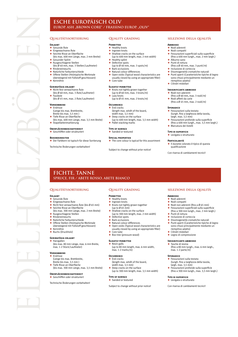# **Esche europäisch oliv EUROP. ASH "BROWN CORE" / FRASSINO EUROP. "OLIV"**

#### **ERLAUBT** F Gesunde Äste

- ◆ Eingewachsene Äste
- Seichte Risse an Oberfläche
- (bis max. 400 mm Länge, max. 2 mm Breite) Gesunder Splint
- Ausgeschlagene Stellen
- (bis Ø 40 mm, max. 3 Stellen/Laufmeter) Rindeneinwuchs
- ◆ Natürliche Farbunterschiede
- ◆ Offene Stellen (Holztypische Merkmale überwiegend mit Füllstoff geschlossen)
- 
- $*$  Kernröhre

# **Geringfügig erlaubt**

- ◆ Nicht fest verwachsene Äste (bis Ø 60 mm, max. 3 Äste/Laufmeter)  $\triangle$  Fauläste
- (bis Ø 45 mm, max. 2 Äste/Laufmeter)

#### **VORKOMMEND**

- Endrisse (Länge bis max. Brettbreite,
- Breite bis max. 3,5 mm )
- F Tiefe Risse an Oberfläche (bis max. 400 mm Länge, max. 3,5 mm Breite)
- $\triangle$  Stanellattenmarkierung
- **Oberflächenbeschaffenheit**
- F Geschliffen oder strukturiert

#### **Besonderheiten**

F Der Farbkern ist typisch für diese Sortierung

Technische Änderungen vorbehalten!

# **Quality grading**

### **Permitted**

- ◆ Healthy knots<br>◆ Ingrown knots
- $\triangleleft$  Shallow cracks on the surface
- (up to 400 mm length, max. 2 mm width) Healthy splint
- Defective spots
- (up to  $\emptyset$  40 mm, max. 3 spots/m)<br>  $\leftarrow$  Bark occlusions
- 
- Natural colour differences
- F Open voids (Typical wood characteristics are usually closed by using an appropriate filler)
- Core tube

#### **Slightly permitted**

- ◆ Knots not tightly grown together (up to Ø 60 mm, max. 3 knots/m)
- $\triangle$  Lazy knots
	- (up to  $\emptyset$  45 mm, max. 2 knots/m)

# **Occurrence**

- End cracks (length max. witdh of the board,
	- width max. 3,5 mm) Deep cracks on the surface
	- (up to 400 mm length, max. 3,5 mm width)
- $\leftarrow$  Pallet stacking marks
- **Type of surface**
- $\triangle$  Sanded or textured

#### **Special properties**

 $\triangle$  The core colour is typical for this assortment

Subject to change without prior notice!

# **selezione della qualità**

#### **Ammesso**

- $\triangleleft$  Nodi aderenti
- $\bigstar$  Nodi compatti Fessurazioni superficiali sulla superficie
- (fino a 400 mm lungh., max. 2 mm largh.) Alburno sano
- Punti di rottura
- (fino a  $\emptyset$  40 mm, max, 3 punti/m)
- Inclusione di corteccia
- Disomogeneità cromatiche naturali F Punti aperti (Caratteristiche tipiche di legno sono chiusi principalmente mediante un
- riempitivo adatto)
- $\triangle$  Cilindri midollari

# **Insignificante ammesso**

- $\triangle$  Nodi non aderenti (fino a  $\emptyset$  60 mm, max. 3 nodi/m)
- ◆ Nodi affetti da carie
- (fino a Ø 45 mm, max. 2 nodi/m)

# **Sporadico**

- $\triangleq$  Fessurazioni sulla testata (lungh. fino a larghezza della tavola, largh. max. 3,5 mm)
- F Fessurazioni profonde sulla superficie (fino a 400 mm lungh., max. 3,5 mm largh.) <del>■ Marcatura dei</del> listelli

#### **Tipo di superficie**

 $\triangle$  Levigata o strutturato

#### **Particolarità**

**Ammesso** ◆ Nodi aderenti ◆ Nodi compatti

F Punti di rottura Inclusione di corteccia Disomogeneità cromatiche naturali F Punti aperti (Caratteristiche tipiche di legno sono chiusi principalmente mediante un

riempitivo adatto) F Cilindri midollari  $\triangleq$  Legno di compressione **Insignificante ammesso**  $\triangle$  Tasche di resina

max. 1-2 parte/m)

largh. max. 3,5 mm)

**Tipo di superficie**  $\triangleq$  Levigata o strutturato Con riserva di cambiamenti tecnici!

**Sporadico**

·······················<br>♦ Il durame colorato è tipico di questa qualificazione

**selezione della qualità**

→ Nodi non aderenti (fino a Ø 65 mm)<br>← Fessurazioni superficiali sulla super F Fessurazioni superficiali sulla superficie (fino a 300 mm lungh., max. 2 mm largh.)

(fino a 80 mm lungh., max. 6 mm largh.,

F Fessurazioni sulla testata (lungh. fino a larghezza della tavola,

 $\blacklozenge$  Fessurazioni profonde sulla superficie (fino a 300 mm lungh., max. 3,5 mm largh.)

Con riserva di cambiamenti tecnici!

# **fichte, tanne Spruce, Fir / Abete rosso, Abete bianco**

# **Qualitätssortierung**

- **Erlaubt**
- Gesunde Äste
- Eingewachsene Äste F Nicht fest verwachsene Äste (bis Ø 65 mm)
- Seichte Risse an Oberfläche
- (bis max. 300 mm Länge, max. 2 mm Breite) Ausgeschlagene Stellen
- Rindeneinwuchs
- 
- Natürliche Farbunterschiede ◆ Offene Stellen (Holztypische Merkmale überwiegend mit Füllstoff geschlossen)
- Kernröhre
- $\triangleq$  Buchs (Druckholz)

# **Geringfügig erlaubt**

 $\blacklozenge$  Harzgallen (bis max. 80 mm Länge, max. 6 mm Breite, max. 1-2 Stück/Laufmeter)

# **Vorkommend**

- ← Endrisse (Länge bis max. Brettbreite,
- Breite bis max. 3,5 mm )
- Tiefe Risse an Oberfläche
- (bis max. 300 mm Länge, max. 3,5 mm Breite)

**Oberflächenbeschaffenheit** F Geschliffen oder strukturiert

Technische Änderungen vorbehalten!

# **Quality grading**

# **Permitted**

← Healthy knots

 $f$  Core tube

**Occurrence**  $\triangle$  End cracks

**Type of surface**  $\triangle$  Sanded or textured

Defective spots Bark occlusions  $\overline{\phantom{a}}$  Natural colour differences<br> $\overline{\phantom{a}}$  Open voids (Typical wood

- Ingrown knots
- ◆ Knots not tightly grown together<br>(up to Ø 65 mm) Shallow cracks on the surface

◆ Box tree (pressure wood) **Slightly permitted**  $\triangle$  Resin galls

max. 1-2 marks/m)

(up to 300 mm length, max. 2 mm width)

F Open voids (Typical wood characteristics are usually closed by using an appropriate filler)

(up to 80 mm length, max. 6 mm width,

(up to 300 mm length, max. 3,5 mm width)

(length max. witdh of the board, width max. 3,5 mm)  $\triangleq$  Deep cracks on the surface

Subject to change without prior notice!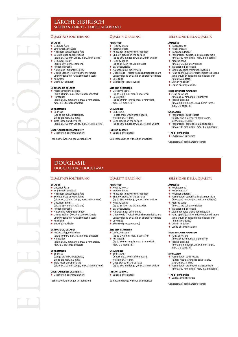# **lärche sibirisch siberian Larch / Larice siberiano**

# **Qualitätssortierung**

# **Erlaubt**

- Gesunde Äste Eingewachsene Äste
- Eingewachsene Aste
- Seichte Risse an Oberfläche
- (bis max. 300 mm Länge, max. 2 mm Breite) Gesunder Splint (bis zu 15% der Sichtfläche)
- 
- ◆ Rindeneinwuchs<br>◆ Natürliche Farbunterschiede
- Offene Stellen (Holztypische Merkmale überwiegend mit Füllstoff geschlossen)
- Kernröhre
- $\triangleleft$  Buchs (Druckholz)

# **Geringfügig erlaubt**

- Ausgeschlagene Stellen (bis Ø 40 mm, max. 3 Stellen/Laufmeter)  $H\nrightarrow$  Harzgallen
- (bis max. 80 mm Länge, max. 6 mm Breite, max. 1-2 Stück/Laufmeter)

# **Vorkommend**

- $\triangle$  Endrisse (Länge bis max. Brettbreite,
- Breite bis max. 3,5 mm ) F Tiefe Risse an Oberfläche
- (bis max. 300 mm Länge, max. 3,5 mm Breite)

#### **Oberflächenbeschaffenheit** F Geschliffen oder strukturiert

Technische Änderungen vorbehalten!

# **Quality grading**

## **Permitted**

- Healthy knots
- $\triangleq$  Ingrown knots
- $\overline{\text{F}}$  Knots not tightly grown together<br> $\overline{\text{F}}$  Shallow cracks on the surface Shallow cracks on the surface
- (up to 300 mm length, max. 2 mm width)
- Healthy splint (up to 15% on the visible side)
- Bark occlusions
- Bank occidentists
- F Open voids (Typical wood characteristics are
- usually closed by using an appropriate filler)
- Core tube ◆ Box tree (pressure wood)
- 

#### **Slightly permitted** F Defective spots

- (up to Ø 40 mm, max. 3 spots/m)  $\triangle$  Resin galls
	- (up to 80 mm length, max. 6 mm width, max. 1-2 marks/m)

# **Occurrence**

- End cracks (length max. witdh of the board,
	- width max. 3,5 mm)
	- Deep cracks on the surface (up to 300 mm length, max. 3,5 mm width)
- **Type of surface**

#### $\triangle$  Sanded or textured

Subject to change without prior notice!

# **selezione della qualità**

#### **Ammesso**

- ◆ Nodi aderenti
	- ◆ Nodi compatti<br>◆ Nodi non aderenti
		- F Fessurazioni superficiali sulla superficie
	- (fino a 300 mm lungh., max. 2 mm largh.) Alburno sano
	- (fino a 15% sul lato visibile)
	- F Inclusione di corteccia
	- F Disomogeneità cromatiche naturali F Punti aperti (Caratteristiche tipiche di legno sono chiusi principalmente mediante un riempitivo adatto)
	- Cilindri midollari
	- $\blacklozenge$  Legno di compressione

# **Insignificante ammesso**

- ◆ Punti di rottura<br>(fino a Ø 40 mm, max. 3 punti/m)
- Tasche di resina (fino a 80 mm lungh., max. 6 mm largh., max. 1-2 parte/m)

# **Sporadico**

**Ammesso** ◆ Nodi aderenti Nodi compatti  $\triangleleft$  Nodi non aderenti

 $\triangle$  Alburno sano

riempitivo adatto) Cilindri midollari Legno di compressione **Insignificante ammesso**  $\triangle$  Punti di rottura

Tasche di resina

max. 1-2 parte/m)

 $\leftarrow$  Fessurazioni sulla testata (lungh. fino a larghezza della tavola,

largh. max. 3,5 mm)

**Tipo di superficie**  $\triangleq$  Levigata o strutturato

**Sporadico** 

- F Fessurazioni sulla testata (lungh. fino a larghezza della tavola, largh. max. 3,5 mm)
- F Fessurazioni profonde sulla superficie (fino a 300 mm lungh., max. 3,5 mm largh.)
- **Tipo di superficie**
- + Levigata o strutturato

Con riserva di cambiamenti tecnici!

**selezione della qualità**

 $\triangleq$  Fessurazioni superficiali sulla superficie (fino a 300 mm lungh., max. 2 mm largh.)

◆ Disomogeneità cromatiche naturali<br>◆ Punti aperti (Caratteristiche tipiche di legno sono chiusi principalmente mediante un

(fino a Ø 40 mm, max. 3 punti/m)

 $\blacklozenge$  Fessurazioni profonde sulla superficie (fino a 300 mm lungh., max. 3,5 mm largh.)

Con riserva di cambiamenti tecnici!

(fino a 80 mm lungh., max. 6 mm largh.,

(fino a 15% sul lato visibile) Inclusione di corteccia

# **DOUGLAS fir / DOUGLASIa**

### **Qualitätssortierung**

### **Erlaubt**

- <u>----- -</u><br>Gesunde Äste
- Eingewachsene Äste Eingenachsene Aste
- Seichte Risse an Oberfläche
- (bis max. 300 mm Länge, max. 2 mm Breite) Gesunder Splint (bis zu 15% der Sichtfläche)
	-
	- **Rindeneinwuchs**
- $\triangle$  Natürliche Farbunterschiede Offene Stellen (Holztypische Merkmale
- überwiegend mit Füllstoff geschlossen)
- $*$  Kernröhre
- Buchs (Druckholz)

# **Geringfügig erlaubt**

- Ausgeschlagene Stellen (bis Ø 40 mm, max. 3 Stellen/Laufmeter)  $\blacklozenge$  Harzgallen
- (bis max. 80 mm Länge, max. 6 mm Breite, max. 1-2 Stück/Laufmeter)

(bis max. 300 mm Länge, max. 3,5 mm Breite)

## **VORKOMMEND**

- Endrisse (Länge bis max. Brettbreite,
- Breite bis max. 3,5 mm )
- Tiefe Risse an Oberfläche

#### **Oberflächenbeschaffenheit**

F Geschliffen oder strukturiert

Technische Änderungen vorbehalten!

# **Quality grading**

### **Permitted**

- **Healthy knots**
- Ingrown knots F Knots not tightly grown together
- Shallow cracks on the surface
- (up to 300 mm length, max. 2 mm width)
- $\overline{\text{H}}$  Healthy splint (up to 15% on the visible side)
	- Bark occlusions
- $\bigstar$  Natural colour differences<br> $\bigstar$  Open voids (Typical wood
- Open voids (Typical wood characteristics are

(up to Ø 40 mm, max. 3 spots/m)

(length max. witdh of the board, width max. 3,5 mm) Deep cracks on the surface

Subject to change without prior notice!

(up to 80 mm length, max. 6 mm width,

(up to 300 mm length, max. 3,5 mm width)

- usually closed by using an appropriate filler)  $\triangle$  Core tube
- ◆ Box tree (pressure wood)

max. 1-2 marks/m)

**Slightly permitted** Defective spots

Resin galls

**Occurrence** End cracks

**Type of surface** ◆ Sanded or textured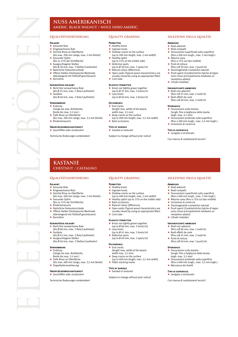# **nuss amerikanisch americ. black Walnut / Noce nero Americ.**

# **Erlaubt**

- F Gesunde Äste F Eingewachsene Äste
- Emgemanische Aste
	- (bis max. 200 mm Länge, max. 2 mm Breite)
- ◆ Gesunder Splint<br>(bis zu 15% der Sichtfläche)
- Ausgeschlagene Stellen (bis Ø 30 mm, max. 3 Stellen/Laufmeter)
- Natürliche Farbunterschiede Offene Stellen (Holztypische Merkmale
- überwiegend mit Füllstoff geschlossen)
- $\triangleq$  Kernröhre

# **Geringfügig erlaubt**

- F Nicht fest verwachsene Äste (bis Ø 35 mm, max. 2 Äste/Laufmeter) Fauläste
- (bis Ø 40 mm, max. 2 Äste/Laufmeter)

# **Vorkommend**

- $\triangleleft$  Endrisse
- (Länge bis max. Brettbreite, Breite bis max. 3,5 mm )
- ◆ Tiefe Risse an Oberfläche
- (bis max. 200 mm Länge, max. 3,5 mm Breite)  $\triangle$  Rindeneinwuchs

# **Oberflächenbeschaffenheit**

# F Geschliffen oder strukturiert

Technische Änderungen vorbehalten!

# **Quality grading**

### **Permitted**

- **← Healthy knots**
- $\bigstar$  Ingrown knots F Shallow cracks on the surface
	- (up to 200 mm length, max. 2 mm width)
- 
- $\bigstar$  Healthy splint<br>(up to 15% on the visible side)
- Defective spots (up to  $\emptyset$  30 mm, max. 3 spots/m)
- $\triangleq$  Natural colour differences
- F Open voids (Typical wood characteristics are
- usually closed by using an appropriate filler)
- $\triangle$  Core tube

# **Slightly permitted**

- ◆ Knots not tightly grown together<br>(up to Ø 35 mm, max. 2 knots/m) Lazy knots
- (up to Ø 40 mm, max. 2 knots/m)

# **Occurrence**

- $\triangleleft$  End cracks (length max. witdh of the board,
- width max. 3,5 mm)
- $\blacklozenge$  Deep cracks on the surface
- (up to 200 mm length, max. 3,5 mm width)
- Bark occlusions

#### **Type of surface** ◆ Sanded or textured

Subject to change without prior notice!

# **selezione della qualità**

#### **Ammesso**

- + Nodi aderenti
- ◆ Nodi compatti
- F Fessurazioni superficiali sulla superficie (fino a 200 mm lungh., max. 2 mm largh.)
- $\triangle$  Alburno sano (fino a 15% sul lato visibile)
- $\overline{\bullet}$  Punti di rottura
- (fino a Ø 30 mm, max. 3 punti/m)
- $\triangle$  Disomogeneità cromatiche naturali<br>  $\triangle$  Punti aperti (Caratteristiche tipiche F Punti aperti (Caratteristiche tipiche di legno sono chiusi principalmente mediante un
- riempitivo adatto)  $\triangleq$  Cilindri midollari

#### **Insignificante ammesso**

- $\triangleleft$  Nodi non aderenti
- (fino a Ø 35 mm, max. 2 nodi/m) ◆ Nodi affetti da carie
- (fino a Ø 40 mm, max. 2 nodi/m)

# **Sporanico**

**Ammesso**  $\triangle$  Nodi aderenti Nodi compatti

- $\triangleq$  Fessurazioni sulla testata (lungh. fino a larghezza della tavola, largh. max. 3,5 mm)
- F Fessurazioni profonde sulla superficie (fino a 200 mm lungh., max. 3,5 mm largh.)
- $\triangleq$  Inclusione di corteccia

#### **Tipo di superficie**  $\triangleq$  Levigata o strutturato

Con riserva di cambiamenti tecnici!

**selezione della qualità**

Inclusione di corteccia F Disomogeneità cromatiche naturali F Punti aperti (Caratteristiche tipiche di legno sono chiusi principalmente mediante un

(fino a Ø 60 mm, max. 3 nodi/m)

(fino a Ø 45 mm, max. 2 nodi/m)

(fino a Ø 40 mm, max. 3 punti/m)

Fessurazioni profonde sulla superficie (fino a 400 mm lungh., max. 3,5 mm largh.) F Marcatura dei listelli

riempitivo adatto)  $\leftarrow$  Cilindri midollari **Insignificante ammesso**  $\triangle$  Nodi non aderenti

◆ Nodi affetti da carie

 $\overline{\bullet}$  Fessurazioni sulla testata (lungh. fino a larghezza della tavola,

largh. max. 3,5 mm)

 $\leftarrow$  Punti di rottura

**Tipo di superficie** ◆ Levigata o strutturato Con riserva di cambiamenti tecnici!

**Sporadico**

Fessurazioni superficiali sulla superficie (fino a 400 mm lungh., max. 2 mm largh.) F Alburno sano (fino a 15% sul lato visibile)

# **kastanie Chestnut / Castagno**

### **Qualitätssortierung**

## **Erlaubt**

- ◆ Gesunde Äste F Eingewachsene Äste
- Seichte Risse an Oberfläche
- (bis max. 400 mm Länge, max. 2 mm Breite) Gesunder Splint
	- (bis zu 15% der Sichtfläche)
- **Rindeneinwuchs**
- F Natürliche Farbunterschiede
- Offene Stellen (Holztypische Merkmale
- überwiegend mit Füllstoff geschlossen)  $\triangleq$  Kernröhre

### **Geringfügig erlaubt**

- F Nicht fest verwachsene Äste (bis Ø 60 mm, max. 3 Äste/Laufmeter) Fauläste
- 
- (bis Ø 45 mm, max. 2 Äste/Laufmeter) <del>► Ausgeschlagene</del> Stellen
- (bis Ø 40 mm, max. 3 Stellen/Laufmeter)

# **Vorkommend**

- $\triangleleft$  Endrisse (Länge bis max. Brettbreite,
- Breite bis max. Bictibic
- 
- + Tiefe Risse an Oberfläche
- (bis max. 400 mm Länge, max. 3,5 mm Breite) ◆ Stapellattenmarkierung

# **Oberflächenbeschaffenheit**

◆ Geschliffen oder strukturiert

Technische Änderungen vorbehalten!

### **Quality grading**

# **Permitted**

 $\leftarrow$  Core tube **Slightly permitted**

Lazy knots

 $\triangle$  Defective spots

 $\triangle$  Pallet stacking marks **Type of surface** ▲ Sanded or textured

**Occuppence** End cracks

- $\triangleleft$  Healthy knots
- $\triangleq$  Ingrown knots
- Shallow cracks on the surface
- (up to 400 mm length, max. 2 mm width)

F Open voids (Typical wood characteristics are usually closed by using an appropriate filler)

 $\triangleq$  Healthy splint (up to 15% on the visible side)

◆ Knots not tightly grown together<br>(up to Ø 60 mm, max. 3 knots/m)

(up to  $\emptyset$  45 mm, max. 2 knots/m)

(up to  $\emptyset$  40 mm, max. 3 spots/m)

(length max. witdh of the board, width may 3.5 mm) ← Deep cracks on the surface

Subject to change without prior notice!

(up to 400 mm length, max. 3,5 mm width)

Bark occlusions ◆ Natural colour differences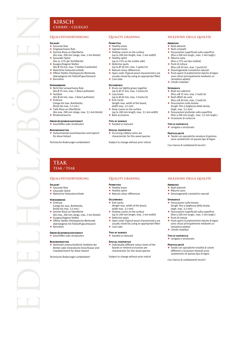# **Cherry / Ciliegio**

# **Qualitätssortierung**

# **Erlaubt**

- Gesunde Äste Eingewachsene Äste
- F Seichte Risse an Oberfläche
- (bis max. 200 mm Länge, max. 2 mm Breite) Gesunder Splint (bis zu 15% der Sichtfläche)
- Ausgeschlagene Stellen
- (bis Ø 30 mm, max. 3 Stellen/Laufmeter) F Natürliche Farbunterschiede
- F Offene Stellen (Holztypische Merkmale
- überwiegend mit Füllstoff geschlossen)  $\triangleq$  Kernröhre
- 

# **Vorkommend**

- F Nicht fest verwachsene Äste (bis Ø 35 mm, max. 2 Äste/Laufmeter) **Fauläste**
- (bis Ø 40 mm, max. 2 Äste/Laufmeter)  $\overline{\phantom{a}}$  Endrisse
- (Länge bis max. Brettbreite,
- Breite bis max. 3,5 mm ) F Tiefe Risse an Oberfläche
- (bis max. 200 mm Länge, max. 3,5 mm Breite)
- $\overrightarrow{F}$  Rindeneinwuchs

#### **Oberflächenbeschaffenheit** F Geschliffen oder strukturiert

- **Besonderheiten**
- F Vorkommende Gummitaschen sind typisch für diese Holzart

Technische Änderungen vorbehalten!

# **Quality grading**

## **PERMITTED**

- ← Healthy knots
- Ingrown knots  $\triangle$  Shallow cracks on the surface
	- (up to 200 mm length, max. 2 mm width)
- Healthy splint
- (up to 15% on the visible side) ← Defective spots
- (up to Ø 30 mm, max. 3 spots/m)
- $\triangleq$  Natural colour differences
- F Open voids (Typical wood characteristics are usually closed by using an appropriate filler)
- $\triangle$  Core tube

#### **Occurrence**

- ◆ Knots not tightly grown together<br>(up to Ø 35 mm, max. 2 knots/m)
- 
- Lazy knots (up to  $\emptyset$  40 mm, max. 2 knots/m)
- $\leftarrow$  End cracks (length max. witdh of the board,
- width max. 3,5 mm)<br>  $\leftarrow$  Deep cracks on the surface
- 
- (up to 200 mm length, max. 3,5 mm width)  $\overline{\bullet}$  Bark occlusions
- **Type of surface**

#### $\triangleleft$  Sanded or textured

#### **Special properties**

◆ Occurring rubbery veins are<br>characteristic for this wood species

Subject to change without prior notice!

# **selezione della qualità**

#### **Ammesso**

- ◆ Nodi aderenti
	- Nodi compatti
- $\triangle$  Fessurazioni superficiali sulla superficie (fino a 200 mm lungh., max. 2 mm largh.)
- $\overline{\bullet}$  Alburno sano (fino a 15% sul lato visibile)
- $\leftarrow$  Punti di rottura
- (fino a Ø 30 mm, max. 3 punti/m)
- $\bigstar$  Disomogeneità cromatiche naturali<br> $\bigstar$  Punti aperti (Caratteristiche tipiche F Punti aperti (Caratteristiche tipiche di legno sono chiusi principalmente mediante un
- riempitivo adatto)  $\triangleq$  Cilindri midollari

#### **Spopanico**

- $\triangle$  Nodi non aderenti
- (fino a Ø 35 mm, max. 2 nodi/m)  $\triangle$  Nodi affetti da carie
- (fino a  $\emptyset$  40 mm, max. 2 nodi/m) Fessurazioni sulla testata (lungh. fino a larghezza della tavola,
- largh. max. 3,5 mm) Fessurazioni profonde sulla superficie
- (fino a 200 mm lungh., max. 3,5 mm largh.) F Inclusione di corteccia

#### **Tipo di superficie**

+ Levigata o strutturato

## **Particolarità**

**Ammesso**  $\triangleleft$  Nodi aderenti  $\triangle$  Alburno sano

**Sporadico**

F Tavole con sporadiche venature di gomma sono caratteristici di questa tipo di legno

Con riserva di cambiamenti tecnici!

**selezione della qualità**

F Disomogeneità cromatiche naturali

(lungh. fino a larghezza della tavola,

F Fessurazioni superficiali sulla superficie (fino a 200 mm lungh., max. 2 mm largh.)

F Punti aperti (Caratteristiche tipiche di legno sono chiusi principalmente mediante un

Tavole con sporadiche tonalità di colore differenti o inclusioni minerali sono caratteristici di questa tipo di legno Con riserva di cambiamenti tecnici!

 $\triangleq$  Fessurazioni sulla testata

largh. max. 3,5 mm)

Punti di rottura

riempitivo adatto)  $\triangleq$  Cilindri midollari **Tipo di superficie**  $\blacklozenge$  Levigata o strutturato **Particolarità**

# **teak teak / teak**

# **Qualitätssortierung**

### **ERLAURT**

- F Gesunde Äste
- ← Gesunder Splint F Natürliche Farbunterschiede

# **Vorkommend**

- $\triangleleft$  Endrisse
- (Länge bis max. Brettbreite, Breite bis max. 3,5 mm )
- F Seichte Risse an Oberfläche (bis max. 200 mm Länge, max. 2 mm Breite)
- Ausgeschlagene Stellen ◆ Offene Stellen (Holztypische Merkmale überwiegend mit Füllstoff geschlossen)
- $*$  Kernröhre
- 

#### **Oberflächenbeschaffenheit** F Geschliffen oder strukturiert

#### **Besonderheiten**

Vereinzelt unterschiedliche Farbtöne der Bretter oder mineralische Einschlüsse sind charakteristisch für diese Holzart

Technische Änderungen vorbehalten!

## **Quality grading**

### **Permitted**

- $\triangleleft$  Healthy knots
- Healthy splint  $\blacklozenge$  Natural colour differences

# **Occurrence**

- $\triangleq$  End cracks (length max. witdh of the board, width max. 3,5 mm)
- 
- F Shallow cracks on the surface (up to 200 mm length, max. 2 mm width)
- Defective spots
- F Open voids (Typical wood characteristics are usually closed by using an appropriate filler)
- Core tube
- **Type of surface**

#### ◆ Sanded or textured

#### **Special properties**

 $\blacklozenge$  Individually different colour tones of the boards or mineral occlusions are characteristic for this wood species

Subject to change without prior notice!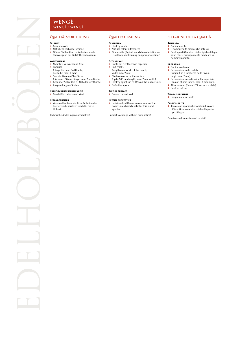# **wengÉ / Wengé**

# **Qualitätssortierung**

# **Erlaubt**

- ← Gesunde Äste  $\blacklozenge$  Natürliche Farbunterschiede
- 
- ◆ Offene Stellen (Holztypische Merkmale überwiegend mit Füllstoff geschlossen)

#### **VORKOMMEND**

- ◆ Nicht fest verwachsene Äste  $\leftarrow$  Endrisse
- (Länge bis max. Brettbreite, Breite bis max. 2 mm )
- ◆ Seichte Risse an Oberfläche
- (bis max. 100 mm Länge, max. 2 mm Breite) F Gesunder Splint (bis zu 10% der Sichtfläche)
- 
- ◆ Ausgeschlagene Stellen

#### **Oberflächenbeschaffenheit** F Geschliffen oder strukturiert

#### **Besonderheiten**

Vereinzelt unterschiedliche Farbtöne der Bretter sind charakteristisch für diese Holzart

Technische Änderungen vorbehalten!

# **Quality grading**

#### **Permitted**

- **← Healthy knots**
- $\blacklozenge$  Natural colour differences
- F Open voids (Typical wood characteristics are usually closed by using an appropriate filler)

#### **Occurrence**

- ◆ Knots not tightly grown together<br>◆ End cracks
- 
- (length max. witdh of the board, width max. 2 mm)
- ◆ Shallow cracks on the surface
- (up to 100 mm length, max. 2 mm width) F Healthy splint (up to 10% on the visible side)
- ◆ Defective spots
- 
- **Type of surface**
- ◆ Sanded or textured

#### **Special properties**

Individually different colour tones of the boards are characteristic for this wood species

Subject to change without prior notice!

# **selezione della qualità**

#### **Ammesso**

- ◆ Nodi aderenti
- $\blacklozenge$  Disomogeneità cromatiche naturali F Punti aperti (Caratteristiche tipiche di legno sono chiusi principalmente mediante un riempitivo adatto)

#### **Sporadico**

- ◆ Nodi non aderenti
- F Fessurazioni sulla testata (lungh. fino a larghezza della tavola, largh. max. 2 mm)
- F Fessurazioni superficiali sulla superficie (fino a 100 mm lungh., max. 2 mm largh.)
- ◆ Alburno sano (fino a 10% sul lato visibile)
- ◆ Punti di rottura

#### **Tipo di superficie**  $\blacklozenge$  Levigata o strutturato

- **Particolarità**
- F Tavole con sporadiche tonalità di colore differenti sono caratteristiche di questa tipo di legno

Con riserva di cambiamenti tecnici!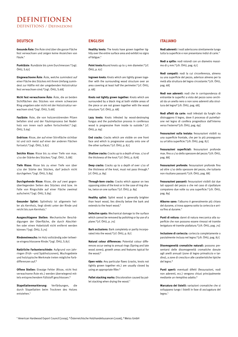# **DEFINITIONEN DEFINITIONS / Definizioni**

# **DEUTSCH**

**Gesunde Äste:** Die Äste sind über die ganze Fläche fest verwachsen und zeigen keine Anzeichen von Fäule.<sup>1</sup>

**Punktäste**: Rundäste bis 5mm Durchmesser.² [vgl. ÖHU, S.67]

**Eingewachsene Äste**: Äste, welche zumindest auf einer Fläche des Stückes mit ihrem Umfang zumindest zur Hälfte mit der umgebenden Holzstruktur fest verwachsen sind.² [vgl. ÖHU, S.68]

**Nicht fest verwachsene Äste**: Äste, die an beiden Sichtflächen des Stückes von einem schwarzen Ring umgeben oder nicht mit der Holzstruktur verwachsen sind.² [vgl. ÖHU, S.68]

**Fauläste:** Äste, die von holzzerstörenden Pilzen befallen sind und der Fäulnisprozess bei Nadelholz von innen nach außen fortschreitet.² [vgl. ÖHU, S.69]

**Endrisse:** Risse, der auf einer Stirnfläche sichtbar ist und sich meist auf einer der anderen Flächen fortsetzt.² [vgl. ÖHU, S.87]

**Seichte Risse:** Risse bis zu einer Tiefe von max. 1/10 der Stärke des Stückes.² [vgl. ÖHU , S.88]

**Tiefe Risse:** Risse bis zu einer Tiefe von über 1/10 der Stärke des Stückes, darf jedoch nicht durchgehen.² [vgl. ÖHU, S.89]

**Durchgehende Risse:** Risse, die auf zwei gegenüberliegenden Seiten des Stückes sind bzw. im Falle von Ringschäle auf einer Fläche zweimal aufscheint.² [vgl. ÖHU, S.89]

**Gesunder Splint:** Splintholz ist allgemein heller als Kernholz, liegt direkt unter der Rinde und reicht bis zum Kernholz.<sup>4</sup>

**Ausgeschlagene Stellen:** Mechanische Beschädigungen der Oberfläche, die durch Abschleifen oder einen Hobelstoß nicht entfernt werden können.² [vgl. ÖHU, S.70]

**Rindeneinwuchs:** Im Holz vollständig oder teilweise eingeschlossene Rinde.² [vgl. ÖHU, S.87]

**Natürliche Farbunterschiede:** Aufgrund von Jahrringen (Früh –und Spätholzzonen), Wuchsgebiete und holztypische Merkmale treten mögliche Farbdifferenzen auf.³

**Offene Stellen:** Etwaige Fehler (Risse, nicht fest verwachsene Äste etc.) werden überwiegend mittels entsprechendem Füllstoff geschlossen.<sup>3</sup>

**Stapellattenmarkierung:** Verfärbungen, die durch Stapellatten beim Trocknen des Holzes entstehen.<sup>1</sup>

# **ENGLISH**

**Healthy knots:** The knots have grown together tightly over the entire surface area and exhibit no signs of fatigue.<sup>1</sup>

**Point knots:**Round knots up to 5 mm diameter.<sup>2</sup> [cf. ÖHIL n. 67]

**Ingrown knots:** Knots which are tightly grown together with the surrounding wood structure over an area covering at least half the perimeter.² [cf. ÖHU, p. 68]

**Knots not tightly grown together:** Knots which are surrounded by a black ring at both visible areas of the piece or are not grown together with the wood structure.² [cf. ÖHU, p. 68]

Lazy knots: Knots infested by wood-destroying fungus and the putrefaction process in coniferous wood is progressive from inside to outside.² [cf. ÖHU, p. 69]

**End cracks:** Cracks which are visible on one front face and which is progressive usually onto one of the other surfaces.<sup>2</sup> [cf. ÖHU, p. 87]

**Shallow cracks:** Cracks up to a depth of max. 1/10 of the thickness of the knot.² [cf. ÖHU, p. 878]

**Deep cracks:** Cracks up to a depth of over 1/10 of the thickness of the knot, must not pass through.<sup>2</sup> [cf. ÖHU, p. 89]

**Through-bore cracks:** Cracks which appear on two opposing sides of the knot or in the case of ring shake, twice on one surface.<sup>2</sup> [cf. ÖHU, p. 89]

**Healthy splint:** Splint wood is generally brighter than heart wood, lies directly below the bark and extends to the heart wood.<sup>1</sup>

**Defective spots:** Mechanical damage to the surface which cannot be removed by polishing or by use of a plane.² [cf. ÖHU, p. 70]

**Bark occlusions:** Bark completely or partly incorporated into the wood.² [cf. ÖHU, p. 87]

**Natural colour differences:** Potential colour differences occur owing to annual rings (Spring and late wood zones), growth areas and features typical for the wood.<sup>3</sup>

**Open voids:** Any particular flaws (cracks, knots not tightly grown together etc.) are usually closed by using an appropriate filler.<sup>3</sup>

**Pallet stacking marks:** Discoloration caused by pallet stacking when drying the wood.<sup>1</sup>

# **ITALIANO**

**Nodi aderenti:** I nodi aderiscono strettamente lungo tutta la superficie e non presentano indizi di carie.<sup>1</sup>

**Nodi a spillo:** nodi rotondi con un diametro massimo di 5 mm.² [cfr. ÖHU, pag. 67]

**Nodi compatti:** nodi la cui circonferenza, almeno su una superficie del pezzo, aderisce almeno per la metà alla struttura del legno circostante.² [cfr. ÖHU, pag. 68]

**Nodi non aderenti:** nodi che in corrispondenza di entrambe le superfici a vista del pezzo sono cerchiati da un anello nero o non sono aderenti alla struttura del legno² [cfr. ÖHU, pag. 68].

**Nodi affetti da carie:** nodi infestati da funghi che distruggono il legno, dove il processo di putrefazione nel legno di conifera progredisce dall'interno verso l'esterno² [cfr. ÖHU, pag. 69]

**Fessurazioni sulla testata:** fessurazioni visibili su una superficie frontale, che per lo più proseguono su un'altra superficie.<sup>2</sup> [cfr. ÖHU, pag. 87]

**Fessurazioni superficiali:** fessurazioni profonde max. fino a 1/10 dello spessore del pezzo.² [cfr. ÖHU, pag. 88]

**Fessurazioni profonde:** fessurazioni profonde fino ad oltre 1/10 dello spessore del pezzo, che tuttavia non risultano passanti.² [cfr. ÖHU, pag. 88]

**Fessurazioni passanti:** fessurazioni visibili dai due lati opposti del pezzo o che nel caso di cipollature compaiono due volte su una superficie.² [cfr. ÖHU, pag. 89]

**Alburno sano:** l'alburno è generalmente più chiaro del durame, si trova appena sotto la corteccia e arriva fino al durame.<sup>1</sup>

**Punti di rottura:** danni di natura meccanica alla superficie che non possono essere rimossi né tramite levigatura né tramite piallatura.² [cfr. ÖHU, pag. 70]

**Inclusione di corteccia:** corteccia completamente o parzialmente inclusa nel legno.² [cfr. ÖHU, pag. 87]

**Disomogeneità cromatiche naturali:** possono presentarsi delle disomogeneità cromatiche dovute agli anelli annuali (zone di legno primaticcio e tardivo), a zone di crescita e alle caratteristiche tipiche del legno.<sup>3</sup>

**Punti aperti:** eventuali difetti (fessurazioni, nodi non aderenti, ecc.) vengono chiusi principalmente mediante un riempitivo adatto.<sup>3</sup>

**Marcatura dei listelli:** variazioni cromatiche che si sviluppano lungo i listelli in fase di asciugatura del legno.<sup>1</sup>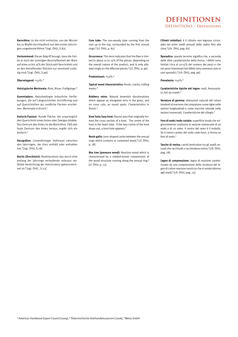**Kernröhre:** Ist die nicht verholzte, von der Wurzel bis zu Wipfel durchlaufend von den ersten Jahrringen umgebende Röhre.² [vgl. ÖHU, S.82]

**Vorkommend:** Dieser Begriff besagt, dass die Fehler je nach der sonstigen Beschaffenheit der Ware auf etwa 10 bis 15% der Stückzahl beschränkt und an den betreffenden Stücken nur vereinzelt zulässig sind.² [vgl. ÖHU, S.96]

## **Überwiegend:** >50%.³

**Holztypische Merkmale:** Äste, Risse, Fraßgänge.³

**Gummiadern:** Naturbedingte bräunliche Verfärbungen, die auf Längsschnitten strichförmig und auf Querschnitten als rundliche Flecken erscheinen. Merkmale in Kirsch<sup>1</sup>

**Astloch/Faulast:** Runde Fläche, die ursprünglich den Querschnitt eines Astes oder Zweiges bildete. Das Zentrum des Astes ist die Markröhre. Fällt das faule Zentrum des Astes heraus, ergibt sich ein Astloch.

**Harzgallen:** Linsenförmiger Hohlraum zwischen den Jahrringen, der Harz enthält oder enthalten hat.² [vgl. ÖHU, S.78]

**Buchs (Druckholz):** Reaktionsholz das durch eine entlang der Jahrringe verlaufende rotbraun verfärbte Verdichtung der Holzstruktur gekennzeichnet ist.² [vgl. ÖHU , S.73]

**Core tube:** The non-woody tube running from the root up to the top, surrounded by the first annual rings.² [cf. ÖHU, p. 82]

**Occurrence:** This term indicates that the flaw is limited to about 10 to 15% of the pieces, depending on the overall nature of the product, and is only allowed singly on the affected pieces.<sup>2</sup> [cf. ÖHU, p. 96]

#### **Predominant:** >50%.³

**Typical wood characteristics:** Knots, cracks, milling marks.³

**Rubbery veins:** Natural brownish discolorations which appear as elongated stria in the grain, and on cross cuts, as round spots. Characteristics in Kirsch<sup>1</sup>

**Knot hole/lazy knot:** Round area that originally formed the cross section of a knot. The centre of the knot is the heart tube. If the lazy centre of the knot drops out, a knot hole appears.<sup>1</sup>

**Resin galls:** Lens-shaped cavity between the annual rings which contains or contained wood.² [cf. ÖHU, p. 78]

**Box tree (pressure wood):** Reaction wood which is characterized by a reddish-brown compression of the wood structure running along the annual ring.<sup>2</sup> [cf. ÖHU, p. 73]

# **DEFINITIONEN DEFINITIONS / Definizioni**

**Cilindri midollari:** è il cilindro non legnoso circondato dai primi anelli annuali dalla radice fino alla cima.² [cfr. ÖHU, pag. 82]

**Sporadico:** questo termine significa che, a seconda delle altre caratteristiche della merce, i difetti sono limitati circa al 10-15% del numero dei pezzi e che nei pezzi interessati tali difetti sono ammessi solo in casi sporadici.² [cfr. ÖHU, pag. 96]

**Prevalente:** >50%.³

**Caratteristiche tipiche del legno:** nodi, fessurazioni, fori da insetti.³

**Venature di gomma:** alterazioni naturali del colore tendenti al marrone che compaiono come righe nelle sezioni longitudinali e come macchie rotonde nelle sezioni trasversali. Caratteristiche del ciliegio.<sup>1</sup>

**Foro di nodo/nodo cariato:** superficie tonda che originariamente costituiva la sezione trasversale di un nodo o di un ramo. Il centro del ramo è il midollo. Se il centro cariato del nodo cade fuori, si forma un foro di nodo<sup>1</sup>

**Tasche di resina:** cavità lenticolare tra gli anelli annuali che racchiude o racchiudeva resina.² [cfr. ÖHU, pag. 78]

**Legno di compressione:** legno di reazione caratterizzato da una compressione della struttura del legno di colore marrone rossiccio che si snoda attorno agli anelli.² [cfr. ÖHU, pag. 73]